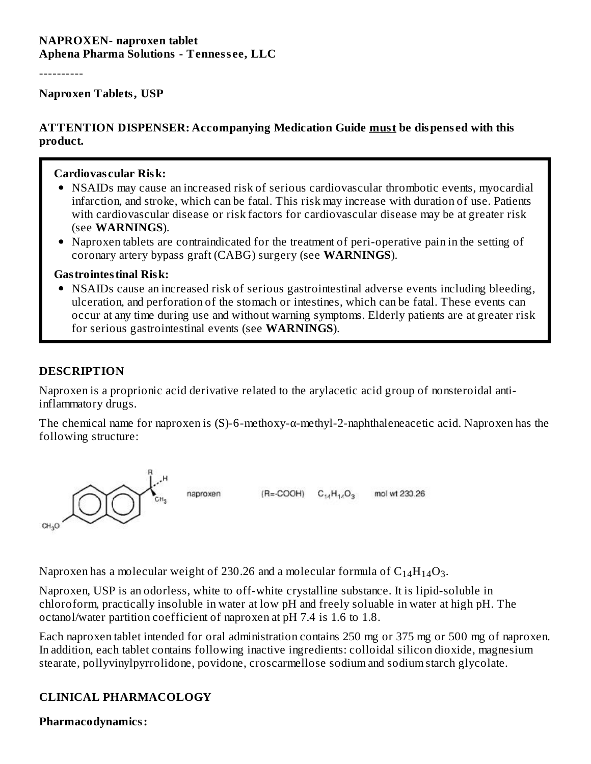#### **NAPROXEN- naproxen tablet Aphena Pharma Solutions - Tenness ee, LLC**

----------

#### **Naproxen Tablets, USP**

#### **ATTENTION DISPENSER: Accompanying Medication Guide must be dispens ed with this product.**

#### **Cardiovas cular Risk:**

- NSAIDs may cause an increased risk of serious cardiovascular thrombotic events, myocardial infarction, and stroke, which can be fatal. This risk may increase with duration of use. Patients with cardiovascular disease or risk factors for cardiovascular disease may be at greater risk (see **WARNINGS**).
- Naproxen tablets are contraindicated for the treatment of peri-operative pain in the setting of coronary artery bypass graft (CABG) surgery (see **WARNINGS**).

#### **Gastrointestinal Risk:**

• NSAIDs cause an increased risk of serious gastrointestinal adverse events including bleeding, ulceration, and perforation of the stomach or intestines, which can be fatal. These events can occur at any time during use and without warning symptoms. Elderly patients are at greater risk for serious gastrointestinal events (see **WARNINGS**).

#### **DESCRIPTION**

Naproxen is a proprionic acid derivative related to the arylacetic acid group of nonsteroidal antiinflammatory drugs.

The chemical name for naproxen is (S)-6-methoxy-α-methyl-2-naphthaleneacetic acid. Naproxen has the following structure:



Naproxen has a molecular weight of 230.26 and a molecular formula of  $\rm{C_{14}H_{14}O_3}.$ 

Naproxen, USP is an odorless, white to off-white crystalline substance. It is lipid-soluble in chloroform, practically insoluble in water at low pH and freely soluable in water at high pH. The octanol/water partition coefficient of naproxen at pH 7.4 is 1.6 to 1.8.

Each naproxen tablet intended for oral administration contains 250 mg or 375 mg or 500 mg of naproxen. In addition, each tablet contains following inactive ingredients: colloidal silicon dioxide, magnesium stearate, pollyvinylpyrrolidone, povidone, croscarmellose sodium and sodium starch glycolate.

### **CLINICAL PHARMACOLOGY**

**Pharmacodynamics:**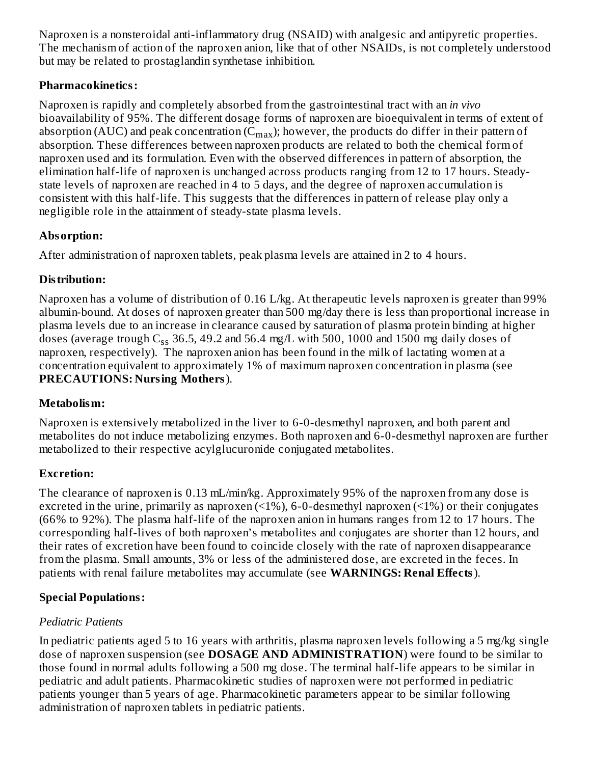Naproxen is a nonsteroidal anti-inflammatory drug (NSAID) with analgesic and antipyretic properties. The mechanism of action of the naproxen anion, like that of other NSAIDs, is not completely understood but may be related to prostaglandin synthetase inhibition.

# **Pharmacokinetics:**

Naproxen is rapidly and completely absorbed from the gastrointestinal tract with an *in vivo* bioavailability of 95%. The different dosage forms of naproxen are bioequivalent in terms of extent of absorption (AUC) and peak concentration (C $_{\rm max}$ ); however, the products do differ in their pattern of absorption. These differences between naproxen products are related to both the chemical form of naproxen used and its formulation. Even with the observed differences in pattern of absorption, the elimination half-life of naproxen is unchanged across products ranging from 12 to 17 hours. Steadystate levels of naproxen are reached in 4 to 5 days, and the degree of naproxen accumulation is consistent with this half-life. This suggests that the differences in pattern of release play only a negligible role in the attainment of steady-state plasma levels.

# **Absorption:**

After administration of naproxen tablets, peak plasma levels are attained in 2 to 4 hours.

# **Distribution:**

Naproxen has a volume of distribution of 0.16 L/kg. At therapeutic levels naproxen is greater than 99% albumin-bound. At doses of naproxen greater than 500 mg/day there is less than proportional increase in plasma levels due to an increase in clearance caused by saturation of plasma protein binding at higher doses (average trough  $\rm C_{ss}$  36.5, 49.2 and 56.4 mg/L with 500, 1000 and 1500 mg daily doses of naproxen, respectively). The naproxen anion has been found in the milk of lactating women at a concentration equivalent to approximately 1% of maximum naproxen concentration in plasma (see **PRECAUTIONS: Nursing Mothers**).

# **Metabolism:**

Naproxen is extensively metabolized in the liver to 6-0-desmethyl naproxen, and both parent and metabolites do not induce metabolizing enzymes. Both naproxen and 6-0-desmethyl naproxen are further metabolized to their respective acylglucuronide conjugated metabolites.

# **Excretion:**

The clearance of naproxen is 0.13 mL/min/kg. Approximately 95% of the naproxen from any dose is excreted in the urine, primarily as naproxen (<1%), 6-0-desmethyl naproxen (<1%) or their conjugates (66% to 92%). The plasma half-life of the naproxen anion in humans ranges from 12 to 17 hours. The corresponding half-lives of both naproxen's metabolites and conjugates are shorter than 12 hours, and their rates of excretion have been found to coincide closely with the rate of naproxen disappearance from the plasma. Small amounts, 3% or less of the administered dose, are excreted in the feces. In patients with renal failure metabolites may accumulate (see **WARNINGS: Renal Effects**).

# **Special Populations:**

# *Pediatric Patients*

In pediatric patients aged 5 to 16 years with arthritis, plasma naproxen levels following a 5 mg/kg single dose of naproxen suspension (see **DOSAGE AND ADMINISTRATION**) were found to be similar to those found in normal adults following a 500 mg dose. The terminal half-life appears to be similar in pediatric and adult patients. Pharmacokinetic studies of naproxen were not performed in pediatric patients younger than 5 years of age. Pharmacokinetic parameters appear to be similar following administration of naproxen tablets in pediatric patients.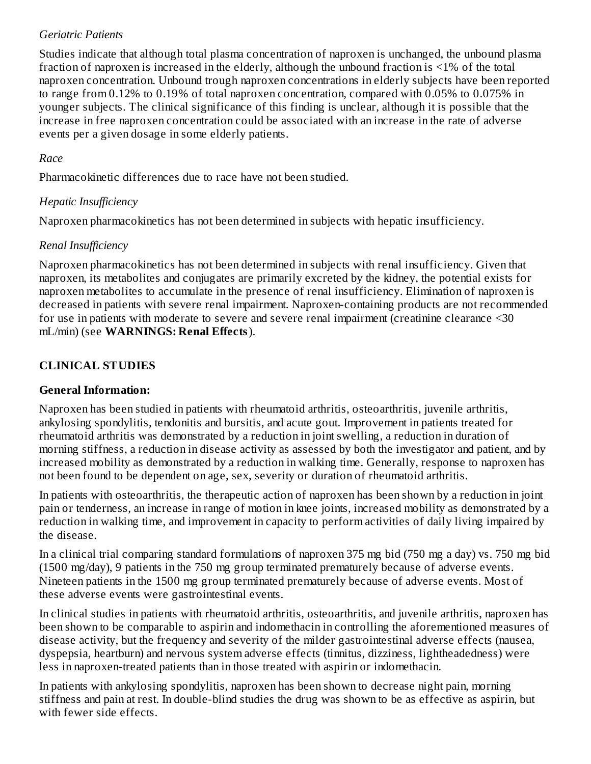### *Geriatric Patients*

Studies indicate that although total plasma concentration of naproxen is unchanged, the unbound plasma fraction of naproxen is increased in the elderly, although the unbound fraction is <1% of the total naproxen concentration. Unbound trough naproxen concentrations in elderly subjects have been reported to range from 0.12% to 0.19% of total naproxen concentration, compared with 0.05% to 0.075% in younger subjects. The clinical significance of this finding is unclear, although it is possible that the increase in free naproxen concentration could be associated with an increase in the rate of adverse events per a given dosage in some elderly patients.

### *Race*

Pharmacokinetic differences due to race have not been studied.

### *Hepatic Insufficiency*

Naproxen pharmacokinetics has not been determined in subjects with hepatic insufficiency.

# *Renal Insufficiency*

Naproxen pharmacokinetics has not been determined in subjects with renal insufficiency. Given that naproxen, its metabolites and conjugates are primarily excreted by the kidney, the potential exists for naproxen metabolites to accumulate in the presence of renal insufficiency. Elimination of naproxen is decreased in patients with severe renal impairment. Naproxen-containing products are not recommended for use in patients with moderate to severe and severe renal impairment (creatinine clearance <30 mL/min) (see **WARNINGS: Renal Effects**).

# **CLINICAL STUDIES**

# **General Information:**

Naproxen has been studied in patients with rheumatoid arthritis, osteoarthritis, juvenile arthritis, ankylosing spondylitis, tendonitis and bursitis, and acute gout. Improvement in patients treated for rheumatoid arthritis was demonstrated by a reduction in joint swelling, a reduction in duration of morning stiffness, a reduction in disease activity as assessed by both the investigator and patient, and by increased mobility as demonstrated by a reduction in walking time. Generally, response to naproxen has not been found to be dependent on age, sex, severity or duration of rheumatoid arthritis.

In patients with osteoarthritis, the therapeutic action of naproxen has been shown by a reduction in joint pain or tenderness, an increase in range of motion in knee joints, increased mobility as demonstrated by a reduction in walking time, and improvement in capacity to perform activities of daily living impaired by the disease.

In a clinical trial comparing standard formulations of naproxen 375 mg bid (750 mg a day) vs. 750 mg bid (1500 mg/day), 9 patients in the 750 mg group terminated prematurely because of adverse events. Nineteen patients in the 1500 mg group terminated prematurely because of adverse events. Most of these adverse events were gastrointestinal events.

In clinical studies in patients with rheumatoid arthritis, osteoarthritis, and juvenile arthritis, naproxen has been shown to be comparable to aspirin and indomethacin in controlling the aforementioned measures of disease activity, but the frequency and severity of the milder gastrointestinal adverse effects (nausea, dyspepsia, heartburn) and nervous system adverse effects (tinnitus, dizziness, lightheadedness) were less in naproxen-treated patients than in those treated with aspirin or indomethacin.

In patients with ankylosing spondylitis, naproxen has been shown to decrease night pain, morning stiffness and pain at rest. In double-blind studies the drug was shown to be as effective as aspirin, but with fewer side effects.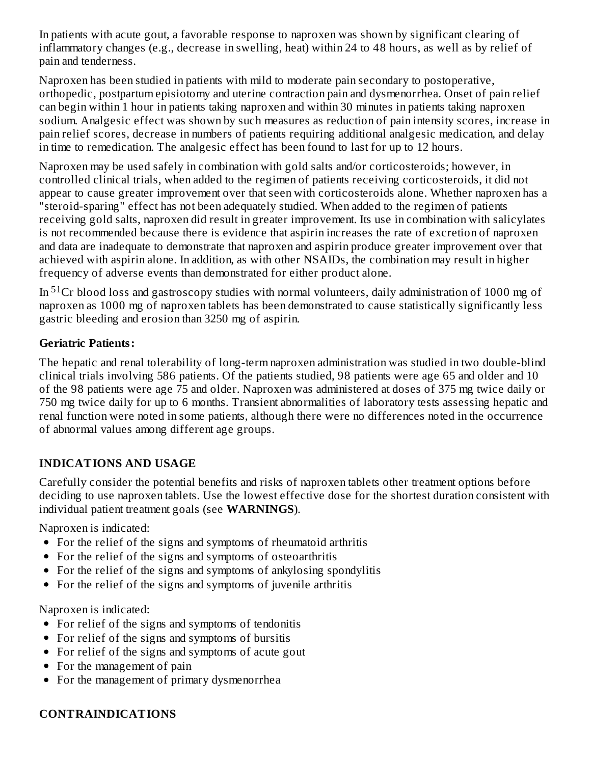In patients with acute gout, a favorable response to naproxen was shown by significant clearing of inflammatory changes (e.g., decrease in swelling, heat) within 24 to 48 hours, as well as by relief of pain and tenderness.

Naproxen has been studied in patients with mild to moderate pain secondary to postoperative, orthopedic, postpartum episiotomy and uterine contraction pain and dysmenorrhea. Onset of pain relief can begin within 1 hour in patients taking naproxen and within 30 minutes in patients taking naproxen sodium. Analgesic effect was shown by such measures as reduction of pain intensity scores, increase in pain relief scores, decrease in numbers of patients requiring additional analgesic medication, and delay in time to remedication. The analgesic effect has been found to last for up to 12 hours.

Naproxen may be used safely in combination with gold salts and/or corticosteroids; however, in controlled clinical trials, when added to the regimen of patients receiving corticosteroids, it did not appear to cause greater improvement over that seen with corticosteroids alone. Whether naproxen has a "steroid-sparing" effect has not been adequately studied. When added to the regimen of patients receiving gold salts, naproxen did result in greater improvement. Its use in combination with salicylates is not recommended because there is evidence that aspirin increases the rate of excretion of naproxen and data are inadequate to demonstrate that naproxen and aspirin produce greater improvement over that achieved with aspirin alone. In addition, as with other NSAIDs, the combination may result in higher frequency of adverse events than demonstrated for either product alone.

In  $^{51}$ Cr blood loss and gastroscopy studies with normal volunteers, daily administration of 1000 mg of naproxen as 1000 mg of naproxen tablets has been demonstrated to cause statistically significantly less gastric bleeding and erosion than 3250 mg of aspirin.

### **Geriatric Patients:**

The hepatic and renal tolerability of long-term naproxen administration was studied in two double-blind clinical trials involving 586 patients. Of the patients studied, 98 patients were age 65 and older and 10 of the 98 patients were age 75 and older. Naproxen was administered at doses of 375 mg twice daily or 750 mg twice daily for up to 6 months. Transient abnormalities of laboratory tests assessing hepatic and renal function were noted in some patients, although there were no differences noted in the occurrence of abnormal values among different age groups.

# **INDICATIONS AND USAGE**

Carefully consider the potential benefits and risks of naproxen tablets other treatment options before deciding to use naproxen tablets. Use the lowest effective dose for the shortest duration consistent with individual patient treatment goals (see **WARNINGS**).

Naproxen is indicated:

- For the relief of the signs and symptoms of rheumatoid arthritis
- For the relief of the signs and symptoms of osteoarthritis
- For the relief of the signs and symptoms of ankylosing spondylitis
- For the relief of the signs and symptoms of juvenile arthritis

Naproxen is indicated:

- For relief of the signs and symptoms of tendonitis
- For relief of the signs and symptoms of bursitis
- For relief of the signs and symptoms of acute gout
- For the management of pain
- For the management of primary dysmenorrhea

# **CONTRAINDICATIONS**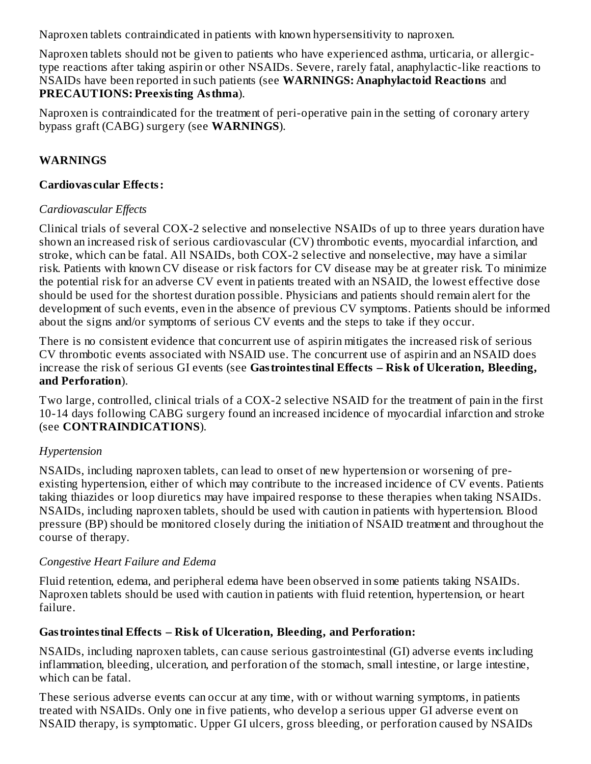Naproxen tablets contraindicated in patients with known hypersensitivity to naproxen.

Naproxen tablets should not be given to patients who have experienced asthma, urticaria, or allergictype reactions after taking aspirin or other NSAIDs. Severe, rarely fatal, anaphylactic-like reactions to NSAIDs have been reported in such patients (see **WARNINGS: Anaphylactoid Reactions** and **PRECAUTIONS: Preexisting Asthma**).

Naproxen is contraindicated for the treatment of peri-operative pain in the setting of coronary artery bypass graft (CABG) surgery (see **WARNINGS**).

### **WARNINGS**

### **Cardiovas cular Effects:**

### *Cardiovascular Effects*

Clinical trials of several COX-2 selective and nonselective NSAIDs of up to three years duration have shown an increased risk of serious cardiovascular (CV) thrombotic events, myocardial infarction, and stroke, which can be fatal. All NSAIDs, both COX-2 selective and nonselective, may have a similar risk. Patients with known CV disease or risk factors for CV disease may be at greater risk. To minimize the potential risk for an adverse CV event in patients treated with an NSAID, the lowest effective dose should be used for the shortest duration possible. Physicians and patients should remain alert for the development of such events, even in the absence of previous CV symptoms. Patients should be informed about the signs and/or symptoms of serious CV events and the steps to take if they occur.

There is no consistent evidence that concurrent use of aspirin mitigates the increased risk of serious CV thrombotic events associated with NSAID use. The concurrent use of aspirin and an NSAID does increase the risk of serious GI events (see **Gastrointestinal Effects – Risk of Ulceration, Bleeding, and Perforation**).

Two large, controlled, clinical trials of a COX-2 selective NSAID for the treatment of pain in the first 10-14 days following CABG surgery found an increased incidence of myocardial infarction and stroke (see **CONTRAINDICATIONS**).

# *Hypertension*

NSAIDs, including naproxen tablets, can lead to onset of new hypertension or worsening of preexisting hypertension, either of which may contribute to the increased incidence of CV events. Patients taking thiazides or loop diuretics may have impaired response to these therapies when taking NSAIDs. NSAIDs, including naproxen tablets, should be used with caution in patients with hypertension. Blood pressure (BP) should be monitored closely during the initiation of NSAID treatment and throughout the course of therapy.

### *Congestive Heart Failure and Edema*

Fluid retention, edema, and peripheral edema have been observed in some patients taking NSAIDs. Naproxen tablets should be used with caution in patients with fluid retention, hypertension, or heart failure.

# **Gastrointestinal Effects – Risk of Ulceration, Bleeding, and Perforation:**

NSAIDs, including naproxen tablets, can cause serious gastrointestinal (GI) adverse events including inflammation, bleeding, ulceration, and perforation of the stomach, small intestine, or large intestine, which can be fatal.

These serious adverse events can occur at any time, with or without warning symptoms, in patients treated with NSAIDs. Only one in five patients, who develop a serious upper GI adverse event on NSAID therapy, is symptomatic. Upper GI ulcers, gross bleeding, or perforation caused by NSAIDs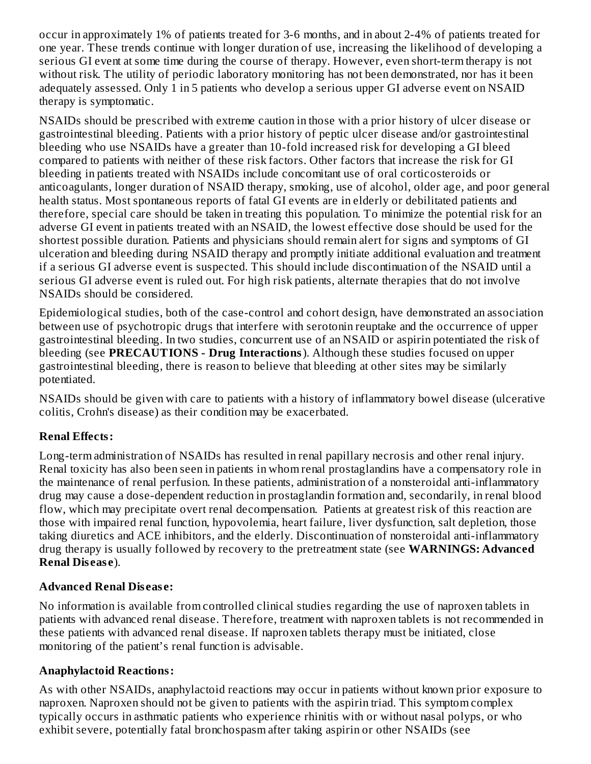occur in approximately 1% of patients treated for 3-6 months, and in about 2-4% of patients treated for one year. These trends continue with longer duration of use, increasing the likelihood of developing a serious GI event at some time during the course of therapy. However, even short-term therapy is not without risk. The utility of periodic laboratory monitoring has not been demonstrated, nor has it been adequately assessed. Only 1 in 5 patients who develop a serious upper GI adverse event on NSAID therapy is symptomatic.

NSAIDs should be prescribed with extreme caution in those with a prior history of ulcer disease or gastrointestinal bleeding. Patients with a prior history of peptic ulcer disease and/or gastrointestinal bleeding who use NSAIDs have a greater than 10-fold increased risk for developing a GI bleed compared to patients with neither of these risk factors. Other factors that increase the risk for GI bleeding in patients treated with NSAIDs include concomitant use of oral corticosteroids or anticoagulants, longer duration of NSAID therapy, smoking, use of alcohol, older age, and poor general health status. Most spontaneous reports of fatal GI events are in elderly or debilitated patients and therefore, special care should be taken in treating this population. To minimize the potential risk for an adverse GI event in patients treated with an NSAID, the lowest effective dose should be used for the shortest possible duration. Patients and physicians should remain alert for signs and symptoms of GI ulceration and bleeding during NSAID therapy and promptly initiate additional evaluation and treatment if a serious GI adverse event is suspected. This should include discontinuation of the NSAID until a serious GI adverse event is ruled out. For high risk patients, alternate therapies that do not involve NSAIDs should be considered.

Epidemiological studies, both of the case-control and cohort design, have demonstrated an association between use of psychotropic drugs that interfere with serotonin reuptake and the occurrence of upper gastrointestinal bleeding. In two studies, concurrent use of an NSAID or aspirin potentiated the risk of bleeding (see **PRECAUTIONS - Drug Interactions**). Although these studies focused on upper gastrointestinal bleeding, there is reason to believe that bleeding at other sites may be similarly potentiated.

NSAIDs should be given with care to patients with a history of inflammatory bowel disease (ulcerative colitis, Crohn's disease) as their condition may be exacerbated.

# **Renal Effects:**

Long-term administration of NSAIDs has resulted in renal papillary necrosis and other renal injury. Renal toxicity has also been seen in patients in whom renal prostaglandins have a compensatory role in the maintenance of renal perfusion. In these patients, administration of a nonsteroidal anti-inflammatory drug may cause a dose-dependent reduction in prostaglandin formation and, secondarily, in renal blood flow, which may precipitate overt renal decompensation. Patients at greatest risk of this reaction are those with impaired renal function, hypovolemia, heart failure, liver dysfunction, salt depletion, those taking diuretics and ACE inhibitors, and the elderly. Discontinuation of nonsteroidal anti-inflammatory drug therapy is usually followed by recovery to the pretreatment state (see **WARNINGS: Advanced Renal Dis eas e**).

### **Advanced Renal Dis eas e:**

No information is available from controlled clinical studies regarding the use of naproxen tablets in patients with advanced renal disease. Therefore, treatment with naproxen tablets is not recommended in these patients with advanced renal disease. If naproxen tablets therapy must be initiated, close monitoring of the patient's renal function is advisable.

### **Anaphylactoid Reactions:**

As with other NSAIDs, anaphylactoid reactions may occur in patients without known prior exposure to naproxen. Naproxen should not be given to patients with the aspirin triad. This symptom complex typically occurs in asthmatic patients who experience rhinitis with or without nasal polyps, or who exhibit severe, potentially fatal bronchospasm after taking aspirin or other NSAIDs (see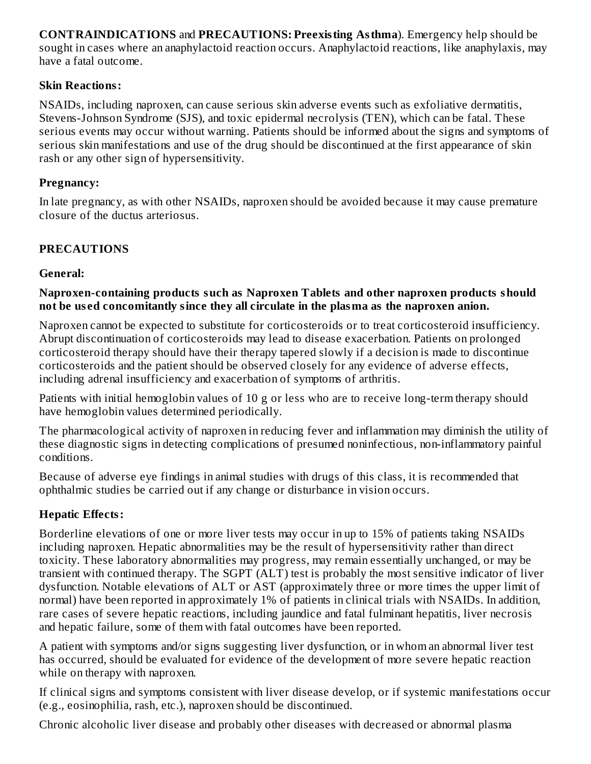**CONTRAINDICATIONS** and **PRECAUTIONS: Preexisting Asthma**). Emergency help should be sought in cases where an anaphylactoid reaction occurs. Anaphylactoid reactions, like anaphylaxis, may have a fatal outcome.

### **Skin Reactions:**

NSAIDs, including naproxen, can cause serious skin adverse events such as exfoliative dermatitis, Stevens-Johnson Syndrome (SJS), and toxic epidermal necrolysis (TEN), which can be fatal. These serious events may occur without warning. Patients should be informed about the signs and symptoms of serious skin manifestations and use of the drug should be discontinued at the first appearance of skin rash or any other sign of hypersensitivity.

### **Pregnancy:**

In late pregnancy, as with other NSAIDs, naproxen should be avoided because it may cause premature closure of the ductus arteriosus.

# **PRECAUTIONS**

### **General:**

#### **Naproxen-containing products such as Naproxen Tablets and other naproxen products should not be us ed concomitantly since they all circulate in the plasma as the naproxen anion.**

Naproxen cannot be expected to substitute for corticosteroids or to treat corticosteroid insufficiency. Abrupt discontinuation of corticosteroids may lead to disease exacerbation. Patients on prolonged corticosteroid therapy should have their therapy tapered slowly if a decision is made to discontinue corticosteroids and the patient should be observed closely for any evidence of adverse effects, including adrenal insufficiency and exacerbation of symptoms of arthritis.

Patients with initial hemoglobin values of 10 g or less who are to receive long-term therapy should have hemoglobin values determined periodically.

The pharmacological activity of naproxen in reducing fever and inflammation may diminish the utility of these diagnostic signs in detecting complications of presumed noninfectious, non-inflammatory painful conditions.

Because of adverse eye findings in animal studies with drugs of this class, it is recommended that ophthalmic studies be carried out if any change or disturbance in vision occurs.

# **Hepatic Effects:**

Borderline elevations of one or more liver tests may occur in up to 15% of patients taking NSAIDs including naproxen. Hepatic abnormalities may be the result of hypersensitivity rather than direct toxicity. These laboratory abnormalities may progress, may remain essentially unchanged, or may be transient with continued therapy. The SGPT (ALT) test is probably the most sensitive indicator of liver dysfunction. Notable elevations of ALT or AST (approximately three or more times the upper limit of normal) have been reported in approximately 1% of patients in clinical trials with NSAIDs. In addition, rare cases of severe hepatic reactions, including jaundice and fatal fulminant hepatitis, liver necrosis and hepatic failure, some of them with fatal outcomes have been reported.

A patient with symptoms and/or signs suggesting liver dysfunction, or in whom an abnormal liver test has occurred, should be evaluated for evidence of the development of more severe hepatic reaction while on therapy with naproxen.

If clinical signs and symptoms consistent with liver disease develop, or if systemic manifestations occur (e.g., eosinophilia, rash, etc.), naproxen should be discontinued.

Chronic alcoholic liver disease and probably other diseases with decreased or abnormal plasma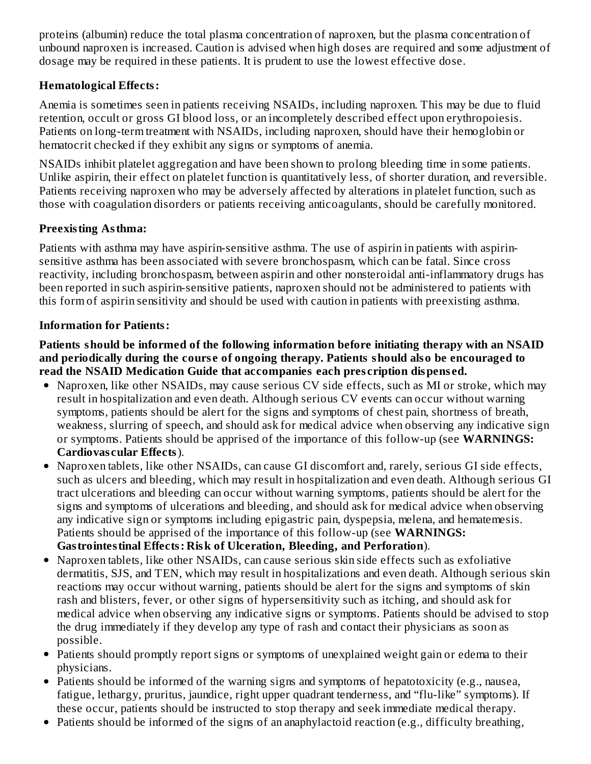proteins (albumin) reduce the total plasma concentration of naproxen, but the plasma concentration of unbound naproxen is increased. Caution is advised when high doses are required and some adjustment of dosage may be required in these patients. It is prudent to use the lowest effective dose.

# **Hematological Effects:**

Anemia is sometimes seen in patients receiving NSAIDs, including naproxen. This may be due to fluid retention, occult or gross GI blood loss, or an incompletely described effect upon erythropoiesis. Patients on long-term treatment with NSAIDs, including naproxen, should have their hemoglobin or hematocrit checked if they exhibit any signs or symptoms of anemia.

NSAIDs inhibit platelet aggregation and have been shown to prolong bleeding time in some patients. Unlike aspirin, their effect on platelet function is quantitatively less, of shorter duration, and reversible. Patients receiving naproxen who may be adversely affected by alterations in platelet function, such as those with coagulation disorders or patients receiving anticoagulants, should be carefully monitored.

# **Preexisting Asthma:**

Patients with asthma may have aspirin-sensitive asthma. The use of aspirin in patients with aspirinsensitive asthma has been associated with severe bronchospasm, which can be fatal. Since cross reactivity, including bronchospasm, between aspirin and other nonsteroidal anti-inflammatory drugs has been reported in such aspirin-sensitive patients, naproxen should not be administered to patients with this form of aspirin sensitivity and should be used with caution in patients with preexisting asthma.

# **Information for Patients:**

**Patients should be informed of the following information before initiating therapy with an NSAID and periodically during the cours e of ongoing therapy. Patients should also be encouraged to read the NSAID Medication Guide that accompanies each pres cription dispens ed.**

- Naproxen, like other NSAIDs, may cause serious CV side effects, such as MI or stroke, which may  $\bullet$ result in hospitalization and even death. Although serious CV events can occur without warning symptoms, patients should be alert for the signs and symptoms of chest pain, shortness of breath, weakness, slurring of speech, and should ask for medical advice when observing any indicative sign or symptoms. Patients should be apprised of the importance of this follow-up (see **WARNINGS: Cardiovas cular Effects**).
- Naproxen tablets, like other NSAIDs, can cause GI discomfort and, rarely, serious GI side effects, such as ulcers and bleeding, which may result in hospitalization and even death. Although serious GI tract ulcerations and bleeding can occur without warning symptoms, patients should be alert for the signs and symptoms of ulcerations and bleeding, and should ask for medical advice when observing any indicative sign or symptoms including epigastric pain, dyspepsia, melena, and hematemesis. Patients should be apprised of the importance of this follow-up (see **WARNINGS: Gastrointestinal Effects: Risk of Ulceration, Bleeding, and Perforation**).
- Naproxen tablets, like other NSAIDs, can cause serious skin side effects such as exfoliative dermatitis, SJS, and TEN, which may result in hospitalizations and even death. Although serious skin reactions may occur without warning, patients should be alert for the signs and symptoms of skin rash and blisters, fever, or other signs of hypersensitivity such as itching, and should ask for medical advice when observing any indicative signs or symptoms. Patients should be advised to stop the drug immediately if they develop any type of rash and contact their physicians as soon as possible.
- Patients should promptly report signs or symptoms of unexplained weight gain or edema to their physicians.
- Patients should be informed of the warning signs and symptoms of hepatotoxicity (e.g., nausea, fatigue, lethargy, pruritus, jaundice, right upper quadrant tenderness, and "flu-like" symptoms). If these occur, patients should be instructed to stop therapy and seek immediate medical therapy.
- Patients should be informed of the signs of an anaphylactoid reaction (e.g., difficulty breathing,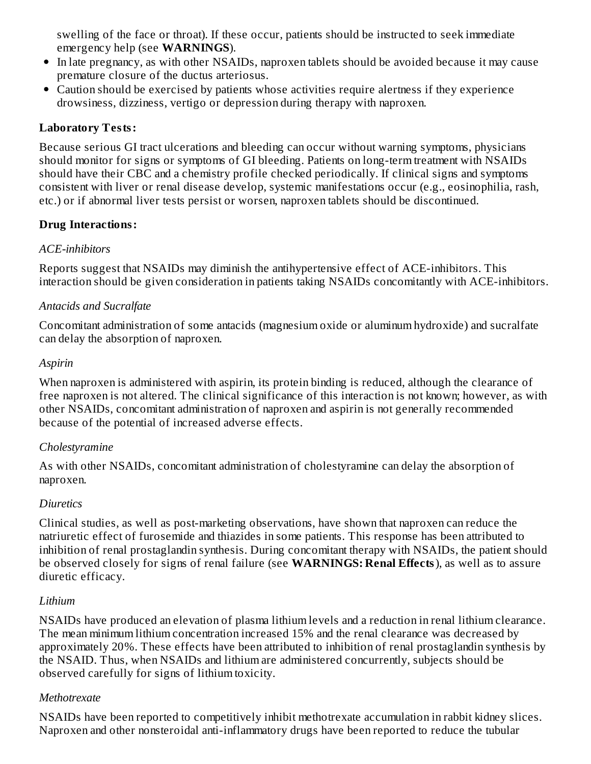swelling of the face or throat). If these occur, patients should be instructed to seek immediate emergency help (see **WARNINGS**).

- In late pregnancy, as with other NSAIDs, naproxen tablets should be avoided because it may cause premature closure of the ductus arteriosus.
- Caution should be exercised by patients whose activities require alertness if they experience drowsiness, dizziness, vertigo or depression during therapy with naproxen.

### **Laboratory Tests:**

Because serious GI tract ulcerations and bleeding can occur without warning symptoms, physicians should monitor for signs or symptoms of GI bleeding. Patients on long-term treatment with NSAIDs should have their CBC and a chemistry profile checked periodically. If clinical signs and symptoms consistent with liver or renal disease develop, systemic manifestations occur (e.g., eosinophilia, rash, etc.) or if abnormal liver tests persist or worsen, naproxen tablets should be discontinued.

### **Drug Interactions:**

### *ACE-inhibitors*

Reports suggest that NSAIDs may diminish the antihypertensive effect of ACE-inhibitors. This interaction should be given consideration in patients taking NSAIDs concomitantly with ACE-inhibitors.

### *Antacids and Sucralfate*

Concomitant administration of some antacids (magnesium oxide or aluminum hydroxide) and sucralfate can delay the absorption of naproxen.

### *Aspirin*

When naproxen is administered with aspirin, its protein binding is reduced, although the clearance of free naproxen is not altered. The clinical significance of this interaction is not known; however, as with other NSAIDs, concomitant administration of naproxen and aspirin is not generally recommended because of the potential of increased adverse effects.

### *Cholestyramine*

As with other NSAIDs, concomitant administration of cholestyramine can delay the absorption of naproxen.

# *Diuretics*

Clinical studies, as well as post-marketing observations, have shown that naproxen can reduce the natriuretic effect of furosemide and thiazides in some patients. This response has been attributed to inhibition of renal prostaglandin synthesis. During concomitant therapy with NSAIDs, the patient should be observed closely for signs of renal failure (see **WARNINGS: Renal Effects**), as well as to assure diuretic efficacy.

### *Lithium*

NSAIDs have produced an elevation of plasma lithium levels and a reduction in renal lithium clearance. The mean minimum lithium concentration increased 15% and the renal clearance was decreased by approximately 20%. These effects have been attributed to inhibition of renal prostaglandin synthesis by the NSAID. Thus, when NSAIDs and lithium are administered concurrently, subjects should be observed carefully for signs of lithium toxicity.

### *Methotrexate*

NSAIDs have been reported to competitively inhibit methotrexate accumulation in rabbit kidney slices. Naproxen and other nonsteroidal anti-inflammatory drugs have been reported to reduce the tubular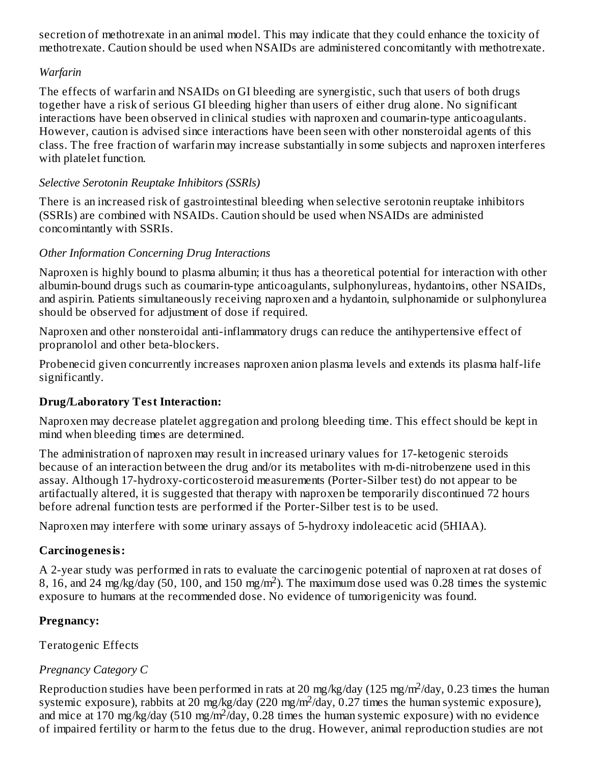secretion of methotrexate in an animal model. This may indicate that they could enhance the toxicity of methotrexate. Caution should be used when NSAIDs are administered concomitantly with methotrexate.

### *Warfarin*

The effects of warfarin and NSAIDs on GI bleeding are synergistic, such that users of both drugs together have a risk of serious GI bleeding higher than users of either drug alone. No significant interactions have been observed in clinical studies with naproxen and coumarin-type anticoagulants. However, caution is advised since interactions have been seen with other nonsteroidal agents of this class. The free fraction of warfarin may increase substantially in some subjects and naproxen interferes with platelet function.

### *Selective Serotonin Reuptake Inhibitors (SSRls)*

There is an increased risk of gastrointestinal bleeding when selective serotonin reuptake inhibitors (SSRIs) are combined with NSAIDs. Caution should be used when NSAIDs are administed concomintantly with SSRIs.

### *Other Information Concerning Drug Interactions*

Naproxen is highly bound to plasma albumin; it thus has a theoretical potential for interaction with other albumin-bound drugs such as coumarin-type anticoagulants, sulphonylureas, hydantoins, other NSAIDs, and aspirin. Patients simultaneously receiving naproxen and a hydantoin, sulphonamide or sulphonylurea should be observed for adjustment of dose if required.

Naproxen and other nonsteroidal anti-inflammatory drugs can reduce the antihypertensive effect of propranolol and other beta-blockers.

Probenecid given concurrently increases naproxen anion plasma levels and extends its plasma half-life significantly.

# **Drug/Laboratory Test Interaction:**

Naproxen may decrease platelet aggregation and prolong bleeding time. This effect should be kept in mind when bleeding times are determined.

The administration of naproxen may result in increased urinary values for 17-ketogenic steroids because of an interaction between the drug and/or its metabolites with m-di-nitrobenzene used in this assay. Although 17-hydroxy-corticosteroid measurements (Porter-Silber test) do not appear to be artifactually altered, it is suggested that therapy with naproxen be temporarily discontinued 72 hours before adrenal function tests are performed if the Porter-Silber test is to be used.

Naproxen may interfere with some urinary assays of 5-hydroxy indoleacetic acid (5HIAA).

### **Carcinogenesis:**

A 2-year study was performed in rats to evaluate the carcinogenic potential of naproxen at rat doses of 8, 16, and 24 mg/kg/day (50, 100, and 150 mg/m<sup>2</sup>). The maximum dose used was 0.28 times the systemic exposure to humans at the recommended dose. No evidence of tumorigenicity was found.

# **Pregnancy:**

Teratogenic Effects

# *Pregnancy Category C*

Reproduction studies have been performed in rats at 20 mg/kg/day (125 mg/m<sup>2</sup>/day, 0.23 times the human systemic exposure), rabbits at 20 mg/kg/day (220 mg/m<sup>2</sup>/day, 0.27 times the human systemic exposure), and mice at 170 mg/kg/day (510 mg/m<sup>2</sup>/day, 0.28 times the human systemic exposure) with no evidence of impaired fertility or harm to the fetus due to the drug. However, animal reproduction studies are not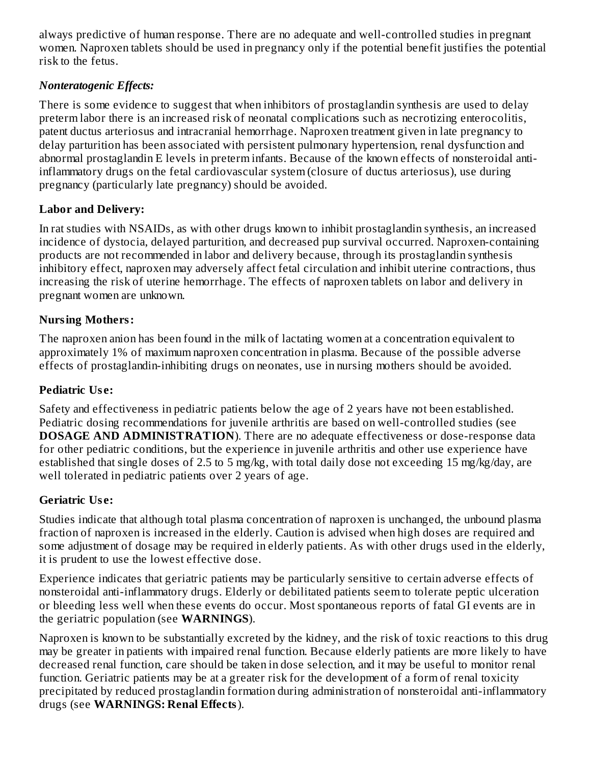always predictive of human response. There are no adequate and well-controlled studies in pregnant women. Naproxen tablets should be used in pregnancy only if the potential benefit justifies the potential risk to the fetus.

### *Nonteratogenic Effects:*

There is some evidence to suggest that when inhibitors of prostaglandin synthesis are used to delay preterm labor there is an increased risk of neonatal complications such as necrotizing enterocolitis, patent ductus arteriosus and intracranial hemorrhage. Naproxen treatment given in late pregnancy to delay parturition has been associated with persistent pulmonary hypertension, renal dysfunction and abnormal prostaglandin E levels in preterm infants. Because of the known effects of nonsteroidal antiinflammatory drugs on the fetal cardiovascular system (closure of ductus arteriosus), use during pregnancy (particularly late pregnancy) should be avoided.

# **Labor and Delivery:**

In rat studies with NSAIDs, as with other drugs known to inhibit prostaglandin synthesis, an increased incidence of dystocia, delayed parturition, and decreased pup survival occurred. Naproxen-containing products are not recommended in labor and delivery because, through its prostaglandin synthesis inhibitory effect, naproxen may adversely affect fetal circulation and inhibit uterine contractions, thus increasing the risk of uterine hemorrhage. The effects of naproxen tablets on labor and delivery in pregnant women are unknown.

# **Nursing Mothers:**

The naproxen anion has been found in the milk of lactating women at a concentration equivalent to approximately 1% of maximum naproxen concentration in plasma. Because of the possible adverse effects of prostaglandin-inhibiting drugs on neonates, use in nursing mothers should be avoided.

# **Pediatric Us e:**

Safety and effectiveness in pediatric patients below the age of 2 years have not been established. Pediatric dosing recommendations for juvenile arthritis are based on well-controlled studies (see **DOSAGE AND ADMINISTRATION**). There are no adequate effectiveness or dose-response data for other pediatric conditions, but the experience in juvenile arthritis and other use experience have established that single doses of 2.5 to 5 mg/kg, with total daily dose not exceeding 15 mg/kg/day, are well tolerated in pediatric patients over 2 years of age.

# **Geriatric Us e:**

Studies indicate that although total plasma concentration of naproxen is unchanged, the unbound plasma fraction of naproxen is increased in the elderly. Caution is advised when high doses are required and some adjustment of dosage may be required in elderly patients. As with other drugs used in the elderly, it is prudent to use the lowest effective dose.

Experience indicates that geriatric patients may be particularly sensitive to certain adverse effects of nonsteroidal anti-inflammatory drugs. Elderly or debilitated patients seem to tolerate peptic ulceration or bleeding less well when these events do occur. Most spontaneous reports of fatal GI events are in the geriatric population (see **WARNINGS**).

Naproxen is known to be substantially excreted by the kidney, and the risk of toxic reactions to this drug may be greater in patients with impaired renal function. Because elderly patients are more likely to have decreased renal function, care should be taken in dose selection, and it may be useful to monitor renal function. Geriatric patients may be at a greater risk for the development of a form of renal toxicity precipitated by reduced prostaglandin formation during administration of nonsteroidal anti-inflammatory drugs (see **WARNINGS: Renal Effects**).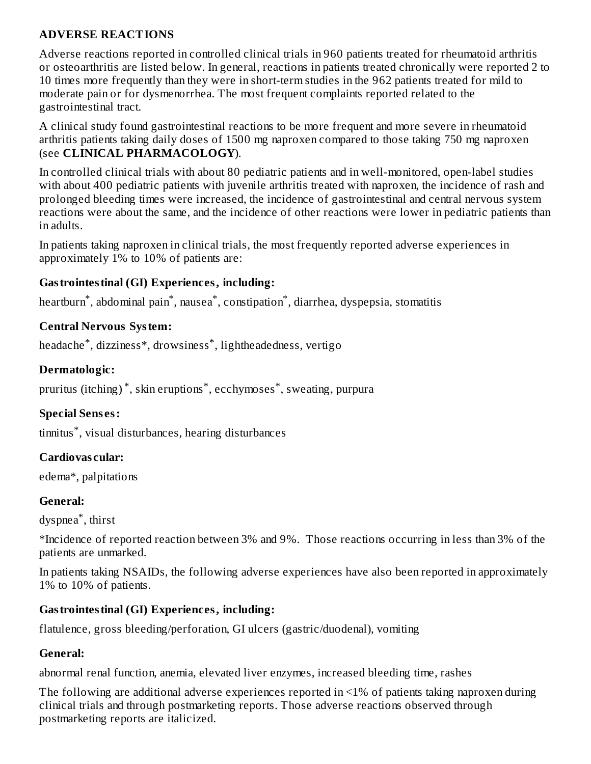### **ADVERSE REACTIONS**

Adverse reactions reported in controlled clinical trials in 960 patients treated for rheumatoid arthritis or osteoarthritis are listed below. In general, reactions in patients treated chronically were reported 2 to 10 times more frequently than they were in short-term studies in the 962 patients treated for mild to moderate pain or for dysmenorrhea. The most frequent complaints reported related to the gastrointestinal tract.

A clinical study found gastrointestinal reactions to be more frequent and more severe in rheumatoid arthritis patients taking daily doses of 1500 mg naproxen compared to those taking 750 mg naproxen (see **CLINICAL PHARMACOLOGY**).

In controlled clinical trials with about 80 pediatric patients and in well-monitored, open-label studies with about 400 pediatric patients with juvenile arthritis treated with naproxen, the incidence of rash and prolonged bleeding times were increased, the incidence of gastrointestinal and central nervous system reactions were about the same, and the incidence of other reactions were lower in pediatric patients than in adults.

In patients taking naproxen in clinical trials, the most frequently reported adverse experiences in approximately 1% to 10% of patients are:

### **Gastrointestinal (GI) Experiences, including:**

heartburn $^*$ , abdominal pain $^*$ , nausea $^*$ , constipation $^*$ , diarrhea, dyspepsia, stomatitis

### **Central Nervous System:**

headache $^*$ , dizziness $^*$ , drowsiness $^*$ , lightheadedness, vertigo

### **Dermatologic:**

pruritus (itching) $^{\ast}$ , skin eruptions $^{\ast}$ , ecchymoses $^{\ast}$ , sweating, purpura

### **Special Sens es:**

 $t$ innitus $^*$ , visual disturbances, hearing disturbances

### **Cardiovas cular:**

edema\*, palpitations

### **General:**

dyspnea<sup>\*</sup>, thirst

\*Incidence of reported reaction between 3% and 9%. Those reactions occurring in less than 3% of the patients are unmarked.

In patients taking NSAIDs, the following adverse experiences have also been reported in approximately 1% to 10% of patients.

# **Gastrointestinal (GI) Experiences, including:**

flatulence, gross bleeding/perforation, GI ulcers (gastric/duodenal), vomiting

### **General:**

abnormal renal function, anemia, elevated liver enzymes, increased bleeding time, rashes

The following are additional adverse experiences reported in <1% of patients taking naproxen during clinical trials and through postmarketing reports. Those adverse reactions observed through postmarketing reports are italicized.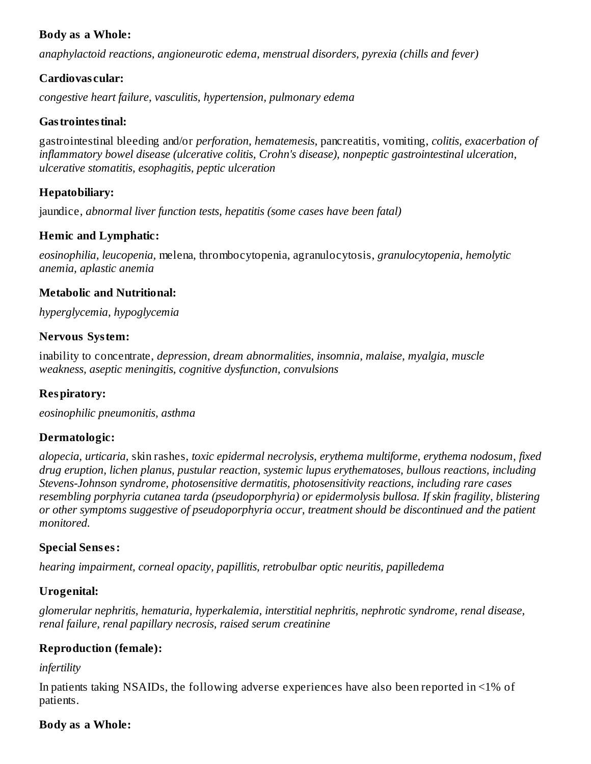### **Body as a Whole:**

*anaphylactoid reactions, angioneurotic edema, menstrual disorders, pyrexia (chills and fever)*

#### **Cardiovas cular:**

*congestive heart failure, vasculitis, hypertension, pulmonary edema*

#### **Gastrointestinal:**

gastrointestinal bleeding and/or *perforation, hematemesis,* pancreatitis, vomiting, *colitis, exacerbation of inflammatory bowel disease (ulcerative colitis, Crohn's disease), nonpeptic gastrointestinal ulceration, ulcerative stomatitis, esophagitis, peptic ulceration*

#### **Hepatobiliary:**

jaundice, *abnormal liver function tests, hepatitis (some cases have been fatal)*

#### **Hemic and Lymphatic:**

*eosinophilia, leucopenia,* melena, thrombocytopenia, agranulocytosis, *granulocytopenia, hemolytic anemia, aplastic anemia*

#### **Metabolic and Nutritional:**

*hyperglycemia, hypoglycemia*

#### **Nervous System:**

inability to concentrate, *depression, dream abnormalities, insomnia, malaise, myalgia, muscle weakness, aseptic meningitis, cognitive dysfunction, convulsions*

#### **Respiratory:**

*eosinophilic pneumonitis, asthma*

### **Dermatologic:**

*alopecia, urticaria,* skin rashes, *toxic epidermal necrolysis, erythema multiforme, erythema nodosum, fixed drug eruption, lichen planus, pustular reaction, systemic lupus erythematoses, bullous reactions, including Stevens-Johnson syndrome, photosensitive dermatitis, photosensitivity reactions, including rare cases resembling porphyria cutanea tarda (pseudoporphyria) or epidermolysis bullosa. If skin fragility, blistering or other symptoms suggestive of pseudoporphyria occur, treatment should be discontinued and the patient monitored.*

### **Special Sens es:**

*hearing impairment, corneal opacity, papillitis, retrobulbar optic neuritis, papilledema*

### **Urogenital:**

*glomerular nephritis, hematuria, hyperkalemia, interstitial nephritis, nephrotic syndrome, renal disease, renal failure, renal papillary necrosis, raised serum creatinine*

### **Reproduction (female):**

#### *infertility*

In patients taking NSAIDs, the following adverse experiences have also been reported in <1% of patients.

### **Body as a Whole:**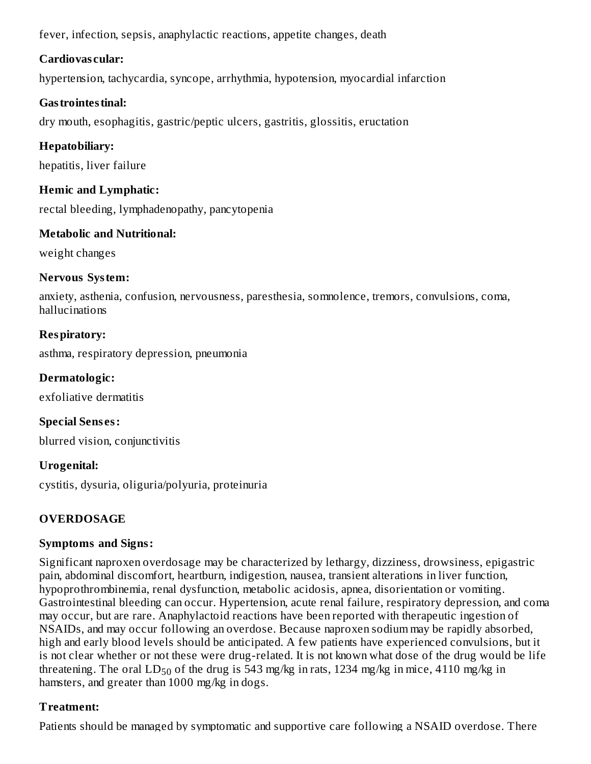fever, infection, sepsis, anaphylactic reactions, appetite changes, death

### **Cardiovas cular:**

hypertension, tachycardia, syncope, arrhythmia, hypotension, myocardial infarction

### **Gastrointestinal:**

dry mouth, esophagitis, gastric/peptic ulcers, gastritis, glossitis, eructation

# **Hepatobiliary:**

hepatitis, liver failure

### **Hemic and Lymphatic:**

rectal bleeding, lymphadenopathy, pancytopenia

### **Metabolic and Nutritional:**

weight changes

# **Nervous System:**

anxiety, asthenia, confusion, nervousness, paresthesia, somnolence, tremors, convulsions, coma, hallucinations

# **Respiratory:**

asthma, respiratory depression, pneumonia

### **Dermatologic:**

exfoliative dermatitis

**Special Sens es:** blurred vision, conjunctivitis

# **Urogenital:**

cystitis, dysuria, oliguria/polyuria, proteinuria

# **OVERDOSAGE**

# **Symptoms and Signs:**

Significant naproxen overdosage may be characterized by lethargy, dizziness, drowsiness, epigastric pain, abdominal discomfort, heartburn, indigestion, nausea, transient alterations in liver function, hypoprothrombinemia, renal dysfunction, metabolic acidosis, apnea, disorientation or vomiting. Gastrointestinal bleeding can occur. Hypertension, acute renal failure, respiratory depression, and coma may occur, but are rare. Anaphylactoid reactions have been reported with therapeutic ingestion of NSAIDs, and may occur following an overdose. Because naproxen sodium may be rapidly absorbed, high and early blood levels should be anticipated. A few patients have experienced convulsions, but it is not clear whether or not these were drug-related. It is not known what dose of the drug would be life threatening. The oral  $LD_{50}$  of the drug is 543 mg/kg in rats, 1234 mg/kg in mice, 4110 mg/kg in hamsters, and greater than 1000 mg/kg in dogs.

# **Treatment:**

Patients should be managed by symptomatic and supportive care following a NSAID overdose. There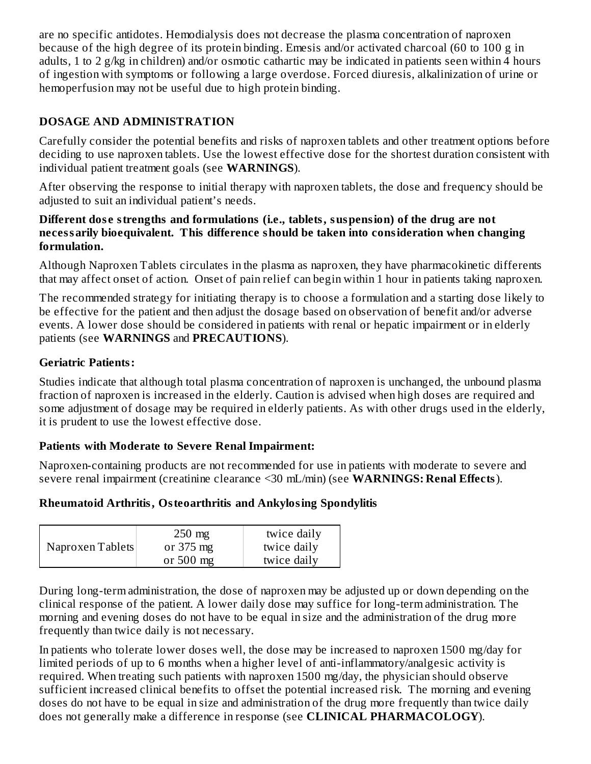are no specific antidotes. Hemodialysis does not decrease the plasma concentration of naproxen because of the high degree of its protein binding. Emesis and/or activated charcoal (60 to 100 g in adults, 1 to 2 g/kg in children) and/or osmotic cathartic may be indicated in patients seen within 4 hours of ingestion with symptoms or following a large overdose. Forced diuresis, alkalinization of urine or hemoperfusion may not be useful due to high protein binding.

# **DOSAGE AND ADMINISTRATION**

Carefully consider the potential benefits and risks of naproxen tablets and other treatment options before deciding to use naproxen tablets. Use the lowest effective dose for the shortest duration consistent with individual patient treatment goals (see **WARNINGS**).

After observing the response to initial therapy with naproxen tablets, the dose and frequency should be adjusted to suit an individual patient's needs.

#### **Different dos e strengths and formulations (i.e., tablets, suspension) of the drug are not necessarily bioequivalent. This difference should be taken into consideration when changing formulation.**

Although Naproxen Tablets circulates in the plasma as naproxen, they have pharmacokinetic differents that may affect onset of action. Onset of pain relief can begin within 1 hour in patients taking naproxen.

The recommended strategy for initiating therapy is to choose a formulation and a starting dose likely to be effective for the patient and then adjust the dosage based on observation of benefit and/or adverse events. A lower dose should be considered in patients with renal or hepatic impairment or in elderly patients (see **WARNINGS** and **PRECAUTIONS**).

### **Geriatric Patients:**

Studies indicate that although total plasma concentration of naproxen is unchanged, the unbound plasma fraction of naproxen is increased in the elderly. Caution is advised when high doses are required and some adjustment of dosage may be required in elderly patients. As with other drugs used in the elderly, it is prudent to use the lowest effective dose.

# **Patients with Moderate to Severe Renal Impairment:**

Naproxen-containing products are not recommended for use in patients with moderate to severe and severe renal impairment (creatinine clearance <30 mL/min) (see **WARNINGS: Renal Effects**).

# **Rheumatoid Arthritis, Osteoarthritis and Ankylosing Spondylitis**

|                  | $250$ mg            | twice daily |
|------------------|---------------------|-------------|
| Naproxen Tablets | or $375 \text{ mg}$ | twice daily |
|                  | or $500$ mg         | twice daily |

During long-term administration, the dose of naproxen may be adjusted up or down depending on the clinical response of the patient. A lower daily dose may suffice for long-term administration. The morning and evening doses do not have to be equal in size and the administration of the drug more frequently than twice daily is not necessary.

In patients who tolerate lower doses well, the dose may be increased to naproxen 1500 mg/day for limited periods of up to 6 months when a higher level of anti-inflammatory/analgesic activity is required. When treating such patients with naproxen 1500 mg/day, the physician should observe sufficient increased clinical benefits to offset the potential increased risk. The morning and evening doses do not have to be equal in size and administration of the drug more frequently than twice daily does not generally make a difference in response (see **CLINICAL PHARMACOLOGY**).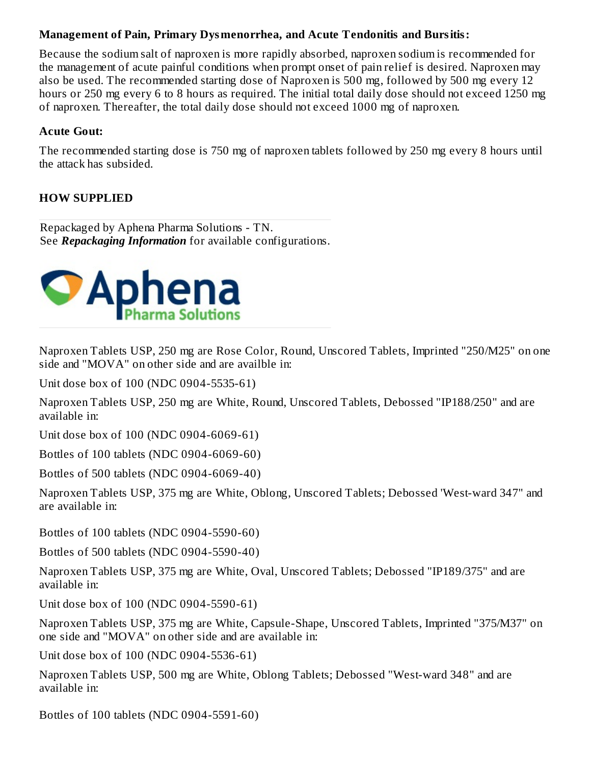### **Management of Pain, Primary Dysmenorrhea, and Acute Tendonitis and Bursitis:**

Because the sodium salt of naproxen is more rapidly absorbed, naproxen sodium is recommended for the management of acute painful conditions when prompt onset of pain relief is desired. Naproxen may also be used. The recommended starting dose of Naproxen is 500 mg, followed by 500 mg every 12 hours or 250 mg every 6 to 8 hours as required. The initial total daily dose should not exceed 1250 mg of naproxen. Thereafter, the total daily dose should not exceed 1000 mg of naproxen.

#### **Acute Gout:**

The recommended starting dose is 750 mg of naproxen tablets followed by 250 mg every 8 hours until the attack has subsided.

### **HOW SUPPLIED**

Repackaged by Aphena Pharma Solutions - TN. See *Repackaging Information* for available configurations.



Naproxen Tablets USP, 250 mg are Rose Color, Round, Unscored Tablets, Imprinted "250/M25" on one side and "MOVA" on other side and are availble in:

Unit dose box of 100 (NDC 0904-5535-61)

Naproxen Tablets USP, 250 mg are White, Round, Unscored Tablets, Debossed "IP188/250" and are available in:

Unit dose box of 100 (NDC 0904-6069-61)

Bottles of 100 tablets (NDC 0904-6069-60)

Bottles of 500 tablets (NDC 0904-6069-40)

Naproxen Tablets USP, 375 mg are White, Oblong, Unscored Tablets; Debossed 'West-ward 347" and are available in:

Bottles of 100 tablets (NDC 0904-5590-60)

Bottles of 500 tablets (NDC 0904-5590-40)

Naproxen Tablets USP, 375 mg are White, Oval, Unscored Tablets; Debossed "IP189/375" and are available in:

Unit dose box of 100 (NDC 0904-5590-61)

Naproxen Tablets USP, 375 mg are White, Capsule-Shape, Unscored Tablets, Imprinted "375/M37" on one side and "MOVA" on other side and are available in:

Unit dose box of 100 (NDC 0904-5536-61)

Naproxen Tablets USP, 500 mg are White, Oblong Tablets; Debossed "West-ward 348" and are available in:

Bottles of 100 tablets (NDC 0904-5591-60)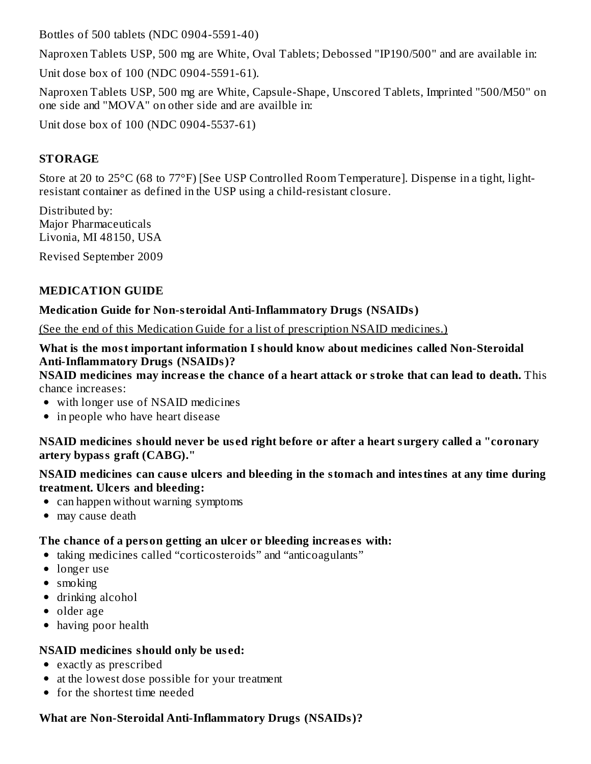Bottles of 500 tablets (NDC 0904-5591-40)

Naproxen Tablets USP, 500 mg are White, Oval Tablets; Debossed "IP190/500" and are available in:

Unit dose box of 100 (NDC 0904-5591-61).

Naproxen Tablets USP, 500 mg are White, Capsule-Shape, Unscored Tablets, Imprinted "500/M50" on one side and "MOVA" on other side and are availble in:

Unit dose box of 100 (NDC 0904-5537-61)

# **STORAGE**

Store at 20 to 25°C (68 to 77°F) [See USP Controlled Room Temperature]. Dispense in a tight, lightresistant container as defined in the USP using a child-resistant closure.

Distributed by: Major Pharmaceuticals Livonia, MI 48150, USA

Revised September 2009

# **MEDICATION GUIDE**

### **Medication Guide for Non-steroidal Anti-Inflammatory Drugs (NSAIDs)**

(See the end of this Medication Guide for a list of prescription NSAID medicines.)

#### **What is the most important information I should know about medicines called Non-Steroidal Anti-Inflammatory Drugs (NSAIDs)?**

**NSAID medicines may increas e the chance of a heart attack or stroke that can lead to death.** This chance increases:

- with longer use of NSAID medicines
- in people who have heart disease

**NSAID medicines should never be us ed right before or after a heart surgery called a "coronary artery bypass graft (CABG)."**

#### **NSAID medicines can caus e ulcers and bleeding in the stomach and intestines at any time during treatment. Ulcers and bleeding:**

- can happen without warning symptoms
- may cause death

### **The chance of a person getting an ulcer or bleeding increas es with:**

- taking medicines called "corticosteroids" and "anticoagulants"
- longer use
- smoking
- drinking alcohol
- older age
- having poor health

### **NSAID medicines should only be us ed:**

- exactly as prescribed
- at the lowest dose possible for your treatment
- for the shortest time needed

# **What are Non-Steroidal Anti-Inflammatory Drugs (NSAIDs)?**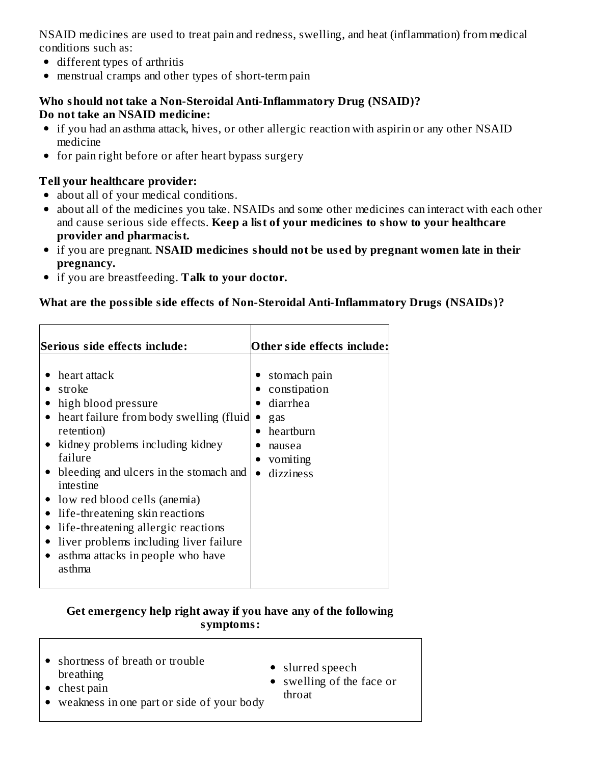NSAID medicines are used to treat pain and redness, swelling, and heat (inflammation) from medical conditions such as:

- different types of arthritis
- menstrual cramps and other types of short-term pain

#### **Who should not take a Non-Steroidal Anti-Inflammatory Drug (NSAID)? Do not take an NSAID medicine:**

- if you had an asthma attack, hives, or other allergic reaction with aspirin or any other NSAID medicine
- for pain right before or after heart bypass surgery

#### **Tell your healthcare provider:**

- about all of your medical conditions.
- about all of the medicines you take. NSAIDs and some other medicines can interact with each other and cause serious side effects. **Keep a list of your medicines to show to your healthcare provider and pharmacist.**
- if you are pregnant. **NSAID medicines should not be us ed by pregnant women late in their pregnancy.**
- if you are breastfeeding. **Talk to your doctor.**

#### **What are the possible side effects of Non-Steroidal Anti-Inflammatory Drugs (NSAIDs)?**

| Serious side effects include:                                                                                                                                                                                                                                                                                                                                                                                     | Other side effects include:                                                                                               |
|-------------------------------------------------------------------------------------------------------------------------------------------------------------------------------------------------------------------------------------------------------------------------------------------------------------------------------------------------------------------------------------------------------------------|---------------------------------------------------------------------------------------------------------------------------|
| heart attack<br>stroke<br>high blood pressure<br>heart failure from body swelling (fluid<br>retention)<br>kidney problems including kidney<br>failure<br>• bleeding and ulcers in the stomach and<br>intestine<br>low red blood cells (anemia)<br>life-threatening skin reactions<br>life-threatening allergic reactions<br>liver problems including liver failure<br>asthma attacks in people who have<br>asthma | stomach pain<br>constipation<br>diarrhea<br>gas<br>heartburn<br>$\bullet$<br>nausea<br>vomiting<br>dizziness<br>$\bullet$ |

#### **Get emergency help right away if you have any of the following symptoms:**

- shortness of breath or trouble breathing
- chest pain
- slurred speech
- swelling of the face or throat
- weakness in one part or side of your body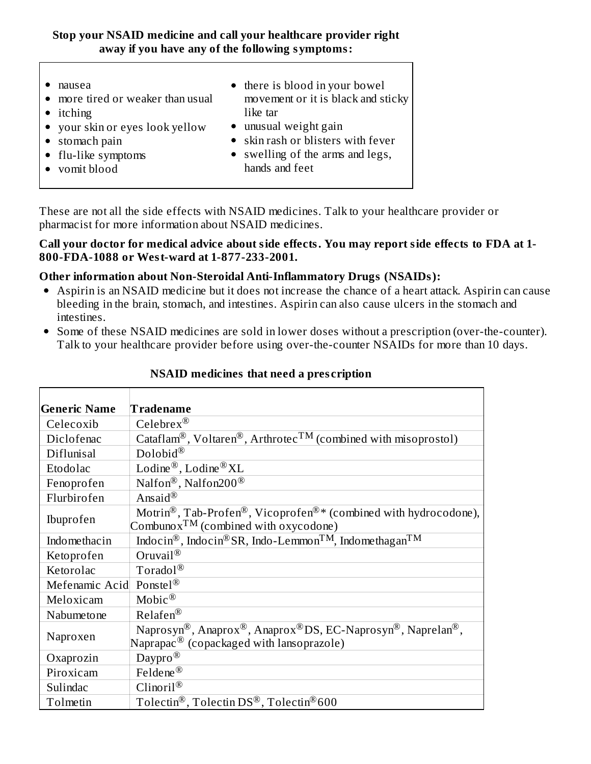### **Stop your NSAID medicine and call your healthcare provider right away if you have any of the following symptoms:**

| nausea                            | • there is blood in your bowel     |
|-----------------------------------|------------------------------------|
| • more tired or weaker than usual | movement or it is black and sticky |
| $\bullet$ itching                 | like tar                           |
| • your skin or eyes look yellow   | • unusual weight gain              |
| • stomach pain                    | • skin rash or blisters with fever |
| • flu-like symptoms               | • swelling of the arms and legs,   |
| • vomit blood                     | hands and feet                     |
|                                   |                                    |

These are not all the side effects with NSAID medicines. Talk to your healthcare provider or pharmacist for more information about NSAID medicines.

#### **Call your doctor for medical advice about side effects. You may report side effects to FDA at 1- 800-FDA-1088 or West-ward at 1-877-233-2001.**

### **Other information about Non-Steroidal Anti-Inflammatory Drugs (NSAIDs):**

- Aspirin is an NSAID medicine but it does not increase the chance of a heart attack. Aspirin can cause bleeding in the brain, stomach, and intestines. Aspirin can also cause ulcers in the stomach and intestines.
- Some of these NSAID medicines are sold in lower doses without a prescription (over-the-counter). Talk to your healthcare provider before using over-the-counter NSAIDs for more than 10 days.

| Generic Name   | Tradename                                                                                                                  |
|----------------|----------------------------------------------------------------------------------------------------------------------------|
| Celecoxib      | Celebrex $^{\circledR}$                                                                                                    |
| Diclofenac     | Cataflam <sup>®</sup> , Voltaren <sup>®</sup> , Arthrotec <sup>TM</sup> (combined with misoprostol)                        |
| Diflunisal     | $Dolobid^{\circledR}$                                                                                                      |
| Etodolac       | Lodine®, Lodine®XL                                                                                                         |
| Fenoprofen     | Nalfon®, Nalfon200 <sup>®</sup>                                                                                            |
| Flurbirofen    | Ansaid $^{\circledR}$                                                                                                      |
|                | Motrin®, Tab-Profen®, Vicoprofen®* (combined with hydrocodone),                                                            |
| Ibuprofen      | Combuno $x^{TM}$ (combined with oxycodone)                                                                                 |
| Indomethacin   | Indocin <sup>®</sup> , Indocin <sup>®</sup> SR, Indo-Lemmon <sup>TM</sup> , Indomethagan <sup>TM</sup>                     |
| Ketoprofen     | Oruvail <sup>®</sup>                                                                                                       |
| Ketorolac      | Toradol <sup>®</sup>                                                                                                       |
| Mefenamic Acid | Ponstel <sup>®</sup>                                                                                                       |
| Meloxicam      | Mobic $\mathbb{R}$                                                                                                         |
| Nabumetone     | Relafen <sup>®</sup>                                                                                                       |
|                | Naprosyn <sup>®</sup> , Anaprox <sup>®</sup> , Anaprox <sup>®</sup> DS, EC-Naprosyn <sup>®</sup> , Naprelan <sup>®</sup> , |
| Naproxen       | Naprapac <sup>®</sup> (copackaged with lansoprazole)                                                                       |
| Oxaprozin      | Daypro <sup>®</sup>                                                                                                        |
| Piroxicam      | Feldene <sup>®</sup>                                                                                                       |
| Sulindac       | $Clinoril^{\circledR}$                                                                                                     |
| Tolmetin       | Tolectin <sup>®</sup> , Tolectin DS <sup>®</sup> , Tolectin <sup>®</sup> 600                                               |

#### **NSAID medicines that need a pres cription**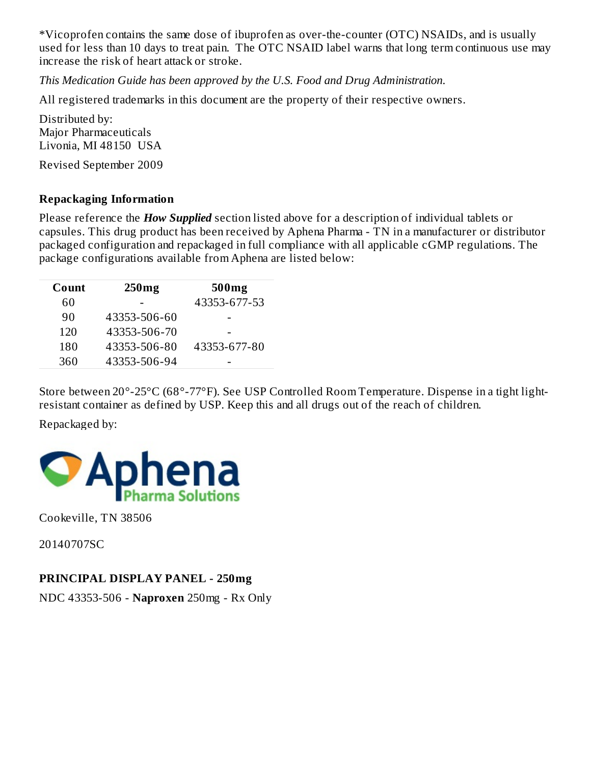\*Vicoprofen contains the same dose of ibuprofen as over-the-counter (OTC) NSAIDs, and is usually used for less than 10 days to treat pain. The OTC NSAID label warns that long term continuous use may increase the risk of heart attack or stroke.

*This Medication Guide has been approved by the U.S. Food and Drug Administration.*

All registered trademarks in this document are the property of their respective owners.

Distributed by: Major Pharmaceuticals Livonia, MI 48150 USA

Revised September 2009

### **Repackaging Information**

Please reference the *How Supplied* section listed above for a description of individual tablets or capsules. This drug product has been received by Aphena Pharma - TN in a manufacturer or distributor packaged configuration and repackaged in full compliance with all applicable cGMP regulations. The package configurations available from Aphena are listed below:

| 250mg        | 500 <sub>mg</sub> |
|--------------|-------------------|
|              | 43353-677-53      |
| 43353-506-60 |                   |
| 43353-506-70 |                   |
| 43353-506-80 | 43353-677-80      |
| 43353-506-94 |                   |
|              |                   |

Store between 20°-25°C (68°-77°F). See USP Controlled Room Temperature. Dispense in a tight lightresistant container as defined by USP. Keep this and all drugs out of the reach of children.

Repackaged by:



Cookeville, TN 38506

20140707SC

**PRINCIPAL DISPLAY PANEL - 250mg**

NDC 43353-506 - **Naproxen** 250mg - Rx Only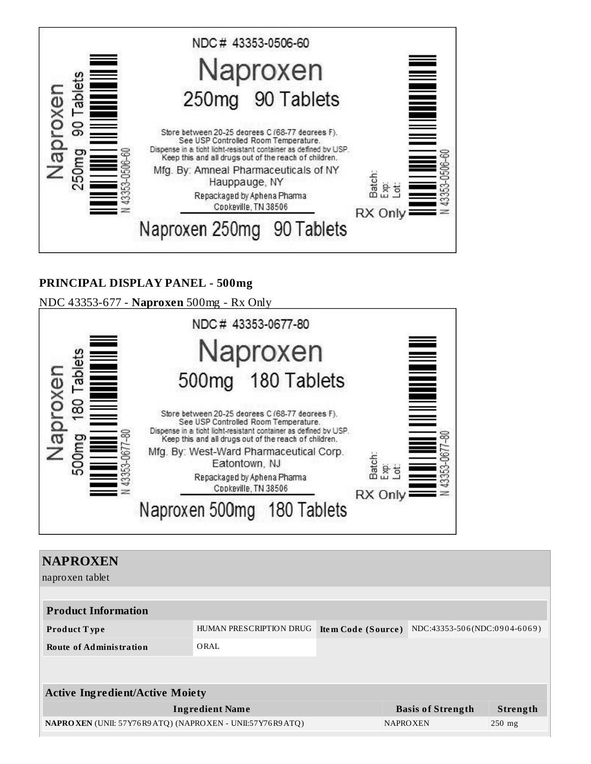

### **PRINCIPAL DISPLAY PANEL - 500mg**

NDC 43353-677 - **Naproxen** 500mg - Rx Only



| <b>NAPROXEN</b><br>naproxen tablet                             |                         |                    |                 |                              |          |  |  |
|----------------------------------------------------------------|-------------------------|--------------------|-----------------|------------------------------|----------|--|--|
| <b>Product Information</b>                                     |                         |                    |                 |                              |          |  |  |
| <b>Product Type</b>                                            | HUMAN PRESCRIPTION DRUG | Item Code (Source) |                 | NDC:43353-506(NDC:0904-6069) |          |  |  |
| <b>Route of Administration</b>                                 | ORAL                    |                    |                 |                              |          |  |  |
|                                                                |                         |                    |                 |                              |          |  |  |
| <b>Active Ingredient/Active Moiety</b>                         |                         |                    |                 |                              |          |  |  |
|                                                                | <b>Ingredient Name</b>  |                    |                 | <b>Basis of Strength</b>     | Strength |  |  |
| NAPRO XEN (UNII: 57Y76 R9 ATQ) (NAPRO XEN - UNII:57Y76 R9 ATQ) |                         |                    | <b>NAPROXEN</b> |                              | $250$ mg |  |  |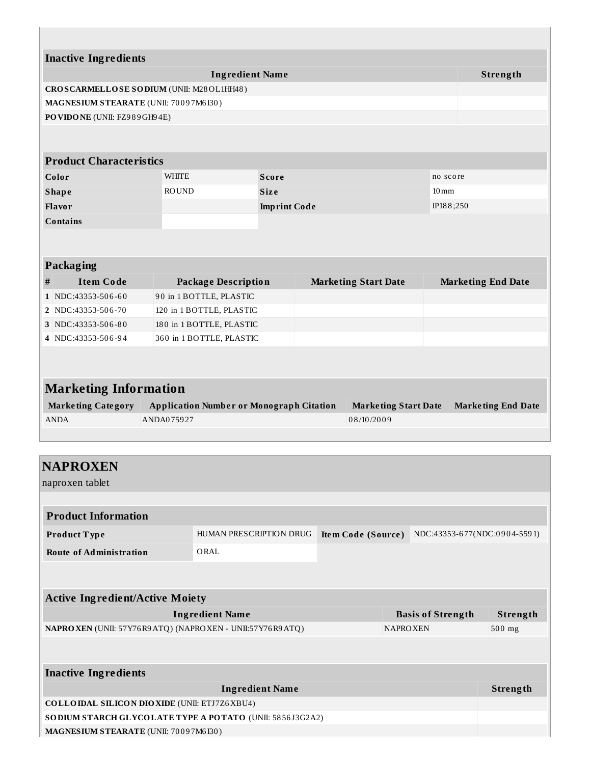| <b>Inactive Ingredients</b>              |                                                 |                     |  |                             |                    |                           |
|------------------------------------------|-------------------------------------------------|---------------------|--|-----------------------------|--------------------|---------------------------|
|                                          | <b>Ingredient Name</b>                          |                     |  |                             |                    | Strength                  |
| CROSCARMELLOSE SODIUM (UNII: M28OL1HH48) |                                                 |                     |  |                             |                    |                           |
| MAGNESIUM STEARATE (UNII: 70097M6I30)    |                                                 |                     |  |                             |                    |                           |
| PO VIDO NE (UNII: FZ989GH94E)            |                                                 |                     |  |                             |                    |                           |
|                                          |                                                 |                     |  |                             |                    |                           |
| <b>Product Characteristics</b>           |                                                 |                     |  |                             |                    |                           |
|                                          | <b>WHITE</b>                                    | Score               |  |                             |                    |                           |
| Color                                    | <b>ROUND</b>                                    |                     |  |                             | no score           |                           |
| <b>Shape</b>                             |                                                 | <b>Size</b>         |  |                             | $10 \,\mathrm{mm}$ |                           |
| Flavor                                   |                                                 | <b>Imprint Code</b> |  |                             | IP188;250          |                           |
| <b>Contains</b>                          |                                                 |                     |  |                             |                    |                           |
|                                          |                                                 |                     |  |                             |                    |                           |
| Packaging                                |                                                 |                     |  |                             |                    |                           |
| <b>Item Code</b><br>#                    | <b>Package Description</b>                      |                     |  | <b>Marketing Start Date</b> |                    | <b>Marketing End Date</b> |
| 1 NDC:43353-506-60                       | 90 in 1 BOTTLE, PLASTIC                         |                     |  |                             |                    |                           |
| 2   NDC:43353-506-70                     | 120 in 1 BOTTLE, PLASTIC                        |                     |  |                             |                    |                           |
| 3 NDC:43353-506-80                       | 180 in 1 BOTTLE, PLASTIC                        |                     |  |                             |                    |                           |
| 4 NDC:43353-506-94                       | 360 in 1 BOTTLE, PLASTIC                        |                     |  |                             |                    |                           |
|                                          |                                                 |                     |  |                             |                    |                           |
|                                          |                                                 |                     |  |                             |                    |                           |
| <b>Marketing Information</b>             |                                                 |                     |  |                             |                    |                           |
| <b>Marketing Category</b>                | <b>Application Number or Monograph Citation</b> |                     |  | <b>Marketing Start Date</b> |                    | <b>Marketing End Date</b> |
| <b>ANDA</b>                              |                                                 |                     |  |                             |                    |                           |
|                                          | ANDA075927                                      |                     |  | 08/10/2009                  |                    |                           |
|                                          |                                                 |                     |  |                             |                    |                           |

| <b>NAPROXEN</b>                                                                   |                         |                    |  |                              |          |  |
|-----------------------------------------------------------------------------------|-------------------------|--------------------|--|------------------------------|----------|--|
| naproxen tablet                                                                   |                         |                    |  |                              |          |  |
|                                                                                   |                         |                    |  |                              |          |  |
| <b>Product Information</b>                                                        |                         |                    |  |                              |          |  |
| Product Type                                                                      | HUMAN PRESCRIPTION DRUG | Item Code (Source) |  | NDC:43353-677(NDC:0904-5591) |          |  |
| <b>Route of Administration</b>                                                    | ORAL                    |                    |  |                              |          |  |
|                                                                                   |                         |                    |  |                              |          |  |
|                                                                                   |                         |                    |  |                              |          |  |
| <b>Active Ingredient/Active Moiety</b>                                            |                         |                    |  |                              |          |  |
| <b>Ingredient Name</b><br><b>Basis of Strength</b><br>Strength                    |                         |                    |  |                              |          |  |
| NAPRO XEN (UNII: 57Y76 R9 ATQ) (NAPRO XEN - UNII:57Y76 R9 ATQ)<br><b>NAPROXEN</b> |                         |                    |  |                              | $500$ mg |  |
|                                                                                   |                         |                    |  |                              |          |  |
|                                                                                   |                         |                    |  |                              |          |  |
| <b>Inactive Ingredients</b>                                                       |                         |                    |  |                              |          |  |
| <b>Ingredient Name</b>                                                            |                         |                    |  |                              | Strength |  |
| <b>COLLOIDAL SILICON DIOXIDE (UNII: ETJ7Z6XBU4)</b>                               |                         |                    |  |                              |          |  |
| SO DIUM STARCH GLYCOLATE TYPE A POTATO (UNII: 5856J3G2A2)                         |                         |                    |  |                              |          |  |
| MAGNESIUM STEARATE (UNII: 70097M6I30)                                             |                         |                    |  |                              |          |  |